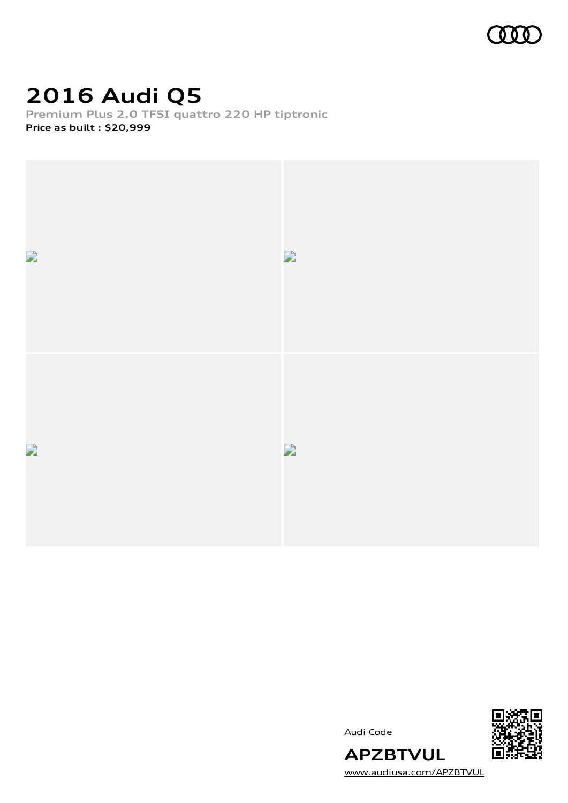

# **2016 Audi Q5**

**Premium Plus 2.0 TFSI quattro 220 HP tiptronic Price as built [:](#page-9-0) \$20,999**



Audi Code



[www.audiusa.com/APZBTVUL](https://www.audiusa.com/APZBTVUL)

**APZBTVUL**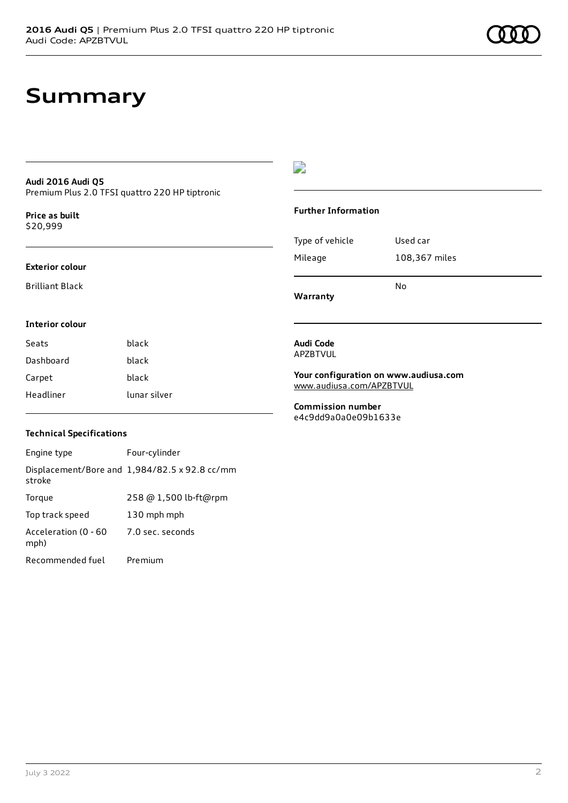### **Summary**

#### **Audi 2016 Audi Q5** Premium Plus 2.0 TFSI quattro 220 HP tiptronic

**Price as buil[t](#page-9-0)** \$20,999

#### **Exterior colour**

Brilliant Black

**Interior colour**

#### D

#### **Further Information**

|                 | N٥            |
|-----------------|---------------|
| Mileage         | 108,367 miles |
| Type of vehicle | Used car      |

**Warranty**

### **Audi Code**

APZBTVUL

**Your configuration on www.audiusa.com** [www.audiusa.com/APZBTVUL](https://www.audiusa.com/APZBTVUL)

**Commission number** e4c9dd9a0a0e09b1633e

#### **Technical Specifications**

Seats **black** Dashboard black Carpet black

Headliner lunar silver

Engine type Four-cylinder Displacement/Bore and 1,984/82.5 x 92.8 cc/mm stroke Torque 258 @ 1,500 lb-ft@rpm Top track speed 130 mph mph Acceleration (0 - 60 mph) 7.0 sec. seconds Recommended fuel Premium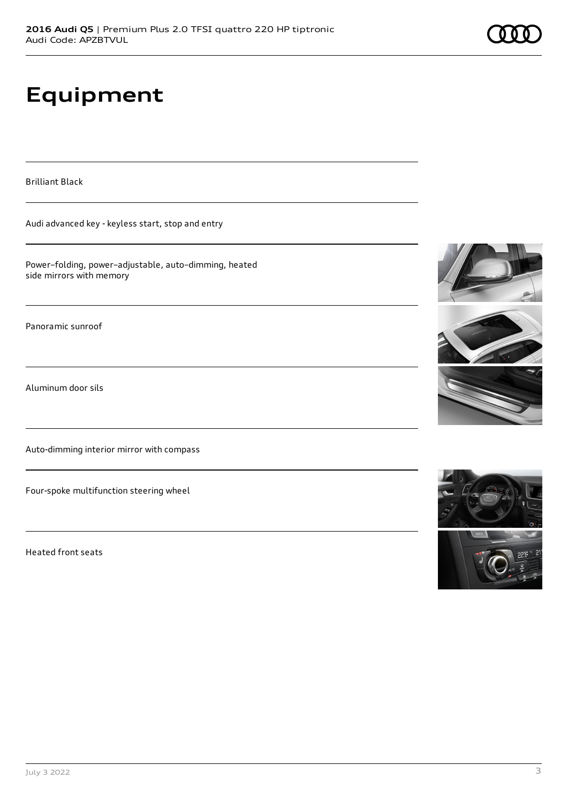# **Equipment**

Brilliant Black

Audi advanced key - keyless start, stop and entry

Power–folding, power–adjustable, auto–dimming, heated side mirrors with memory

Panoramic sunroof

Aluminum door sils

Auto-dimming interior mirror with compass

Four-spoke multifunction steering wheel

Heated front seats







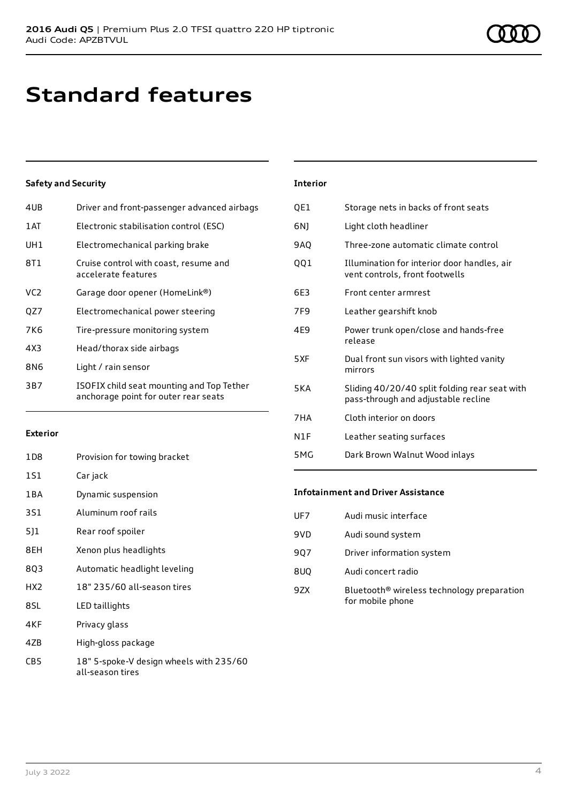## **Standard features**

#### **Safety and Security**

| 4UB             | Driver and front-passenger advanced airbags                                       |
|-----------------|-----------------------------------------------------------------------------------|
| 1AT             | Electronic stabilisation control (ESC)                                            |
| UH1             | Electromechanical parking brake                                                   |
| 8T1             | Cruise control with coast, resume and<br>accelerate features                      |
| VC <sub>2</sub> | Garage door opener (HomeLink®)                                                    |
| QZ7             | Electromechanical power steering                                                  |
| 7K6             | Tire-pressure monitoring system                                                   |
| 4X3             | Head/thorax side airbags                                                          |
| 8N6             | Light / rain sensor                                                               |
| 3B7             | ISOFIX child seat mounting and Top Tether<br>anchorage point for outer rear seats |
|                 |                                                                                   |

#### **Interior**

| QE1             | Storage nets in backs of front seats                                                 |
|-----------------|--------------------------------------------------------------------------------------|
| 6NJ             | Light cloth headliner                                                                |
| 9AQ             | Three-zone automatic climate control                                                 |
| 001             | Illumination for interior door handles, air<br>vent controls, front footwells        |
| 6E3             | Front center armrest                                                                 |
| 7F <sub>9</sub> | Leather gearshift knob                                                               |
| 4E9             | Power trunk open/close and hands-free<br>release                                     |
| 5XF             | Dual front sun visors with lighted vanity<br>mirrors                                 |
| <b>5KA</b>      | Sliding 40/20/40 split folding rear seat with<br>pass-through and adjustable recline |
| 7HA             | Cloth interior on doors                                                              |
| N1F             | Leather seating surfaces                                                             |
| 5MG             | Dark Brown Walnut Wood inlays                                                        |

#### **Exterior**

| 1D8   | Provision for towing bracket                                |
|-------|-------------------------------------------------------------|
| 1S1   | Car jack                                                    |
| 1 B A | Dynamic suspension                                          |
| 3S1   | Aluminum roof rails                                         |
| 5]1   | Rear roof spoiler                                           |
| 8EH   | Xenon plus headlights                                       |
| 8Q3   | Automatic headlight leveling                                |
| HX2   | 18" 235/60 all-season tires                                 |
| 8SL   | LED taillights                                              |
| 4KF   | Privacy glass                                               |
| 4ZB   | High-gloss package                                          |
| CB5   | 18" 5-spoke-V design wheels with 235/60<br>all-season tires |

#### **Infotainment and Driver Assistance**

| UF7 | Audi music interface                                                       |
|-----|----------------------------------------------------------------------------|
| 9VD | Audi sound system                                                          |
| 907 | Driver information system                                                  |
| 8UQ | Audi concert radio                                                         |
| 9ZX | Bluetooth <sup>®</sup> wireless technology preparation<br>for mobile phone |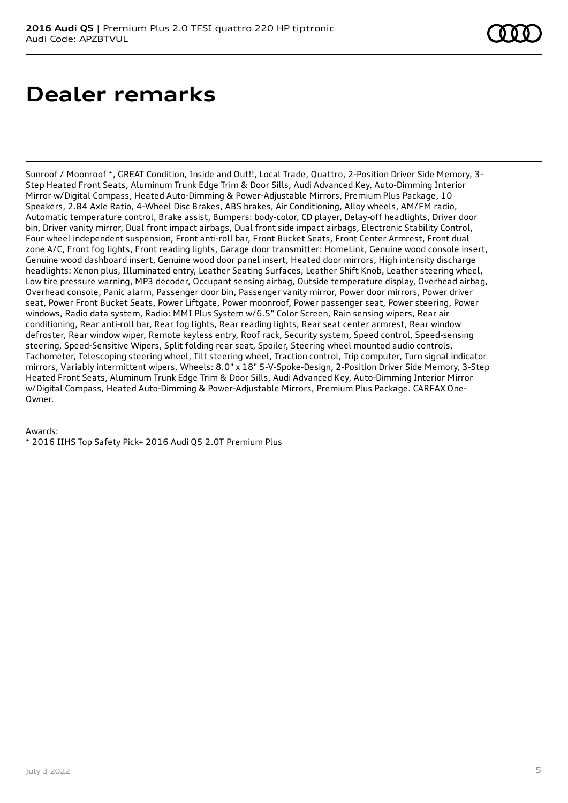### **Dealer remarks**

Sunroof / Moonroof \*, GREAT Condition, Inside and Out!!, Local Trade, Quattro, 2-Position Driver Side Memory, 3- Step Heated Front Seats, Aluminum Trunk Edge Trim & Door Sills, Audi Advanced Key, Auto-Dimming Interior Mirror w/Digital Compass, Heated Auto-Dimming & Power-Adjustable Mirrors, Premium Plus Package, 10 Speakers, 2.84 Axle Ratio, 4-Wheel Disc Brakes, ABS brakes, Air Conditioning, Alloy wheels, AM/FM radio, Automatic temperature control, Brake assist, Bumpers: body-color, CD player, Delay-off headlights, Driver door bin, Driver vanity mirror, Dual front impact airbags, Dual front side impact airbags, Electronic Stability Control, Four wheel independent suspension, Front anti-roll bar, Front Bucket Seats, Front Center Armrest, Front dual zone A/C, Front fog lights, Front reading lights, Garage door transmitter: HomeLink, Genuine wood console insert, Genuine wood dashboard insert, Genuine wood door panel insert, Heated door mirrors, High intensity discharge headlights: Xenon plus, Illuminated entry, Leather Seating Surfaces, Leather Shift Knob, Leather steering wheel, Low tire pressure warning, MP3 decoder, Occupant sensing airbag, Outside temperature display, Overhead airbag, Overhead console, Panic alarm, Passenger door bin, Passenger vanity mirror, Power door mirrors, Power driver seat, Power Front Bucket Seats, Power Liftgate, Power moonroof, Power passenger seat, Power steering, Power windows, Radio data system, Radio: MMI Plus System w/6.5" Color Screen, Rain sensing wipers, Rear air conditioning, Rear anti-roll bar, Rear fog lights, Rear reading lights, Rear seat center armrest, Rear window defroster, Rear window wiper, Remote keyless entry, Roof rack, Security system, Speed control, Speed-sensing steering, Speed-Sensitive Wipers, Split folding rear seat, Spoiler, Steering wheel mounted audio controls, Tachometer, Telescoping steering wheel, Tilt steering wheel, Traction control, Trip computer, Turn signal indicator mirrors, Variably intermittent wipers, Wheels: 8.0" x 18" 5-V-Spoke-Design, 2-Position Driver Side Memory, 3-Step Heated Front Seats, Aluminum Trunk Edge Trim & Door Sills, Audi Advanced Key, Auto-Dimming Interior Mirror w/Digital Compass, Heated Auto-Dimming & Power-Adjustable Mirrors, Premium Plus Package. CARFAX One-Owner.

#### Awards:

\* 2016 IIHS Top Safety Pick+ 2016 Audi Q5 2.0T Premium Plus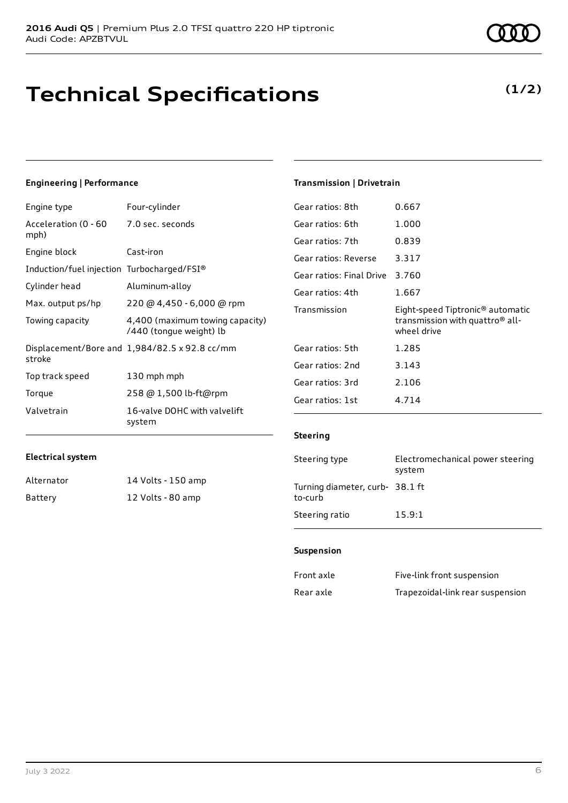# **Technical Specifications**

#### **Engineering | Performance**

| Four-cylinder                                              |
|------------------------------------------------------------|
| 7.0 sec. seconds                                           |
| Cast-iron                                                  |
| Induction/fuel injection Turbocharged/FSI®                 |
| Aluminum-alloy                                             |
| 220 @ 4,450 - 6,000 @ rpm                                  |
| 4,400 (maximum towing capacity)<br>/440 (tongue weight) lb |
| Displacement/Bore and 1,984/82.5 x 92.8 cc/mm              |
| 130 mph mph                                                |
| 258 @ 1,500 lb-ft@rpm                                      |
| 16-valve DOHC with valvelift<br>system                     |
|                                                            |

#### **Transmission | Drivetrain**

| Gear ratios: 8th         | 0.667                                                                                                      |
|--------------------------|------------------------------------------------------------------------------------------------------------|
| Gear ratios: 6th         | 1.000                                                                                                      |
| Gear ratios: 7th         | 0.839                                                                                                      |
| Gear ratios: Reverse     | 3.317                                                                                                      |
| Gear ratios: Final Drive | 3.760                                                                                                      |
| Gear ratios: 4th         | 1.667                                                                                                      |
|                          |                                                                                                            |
| Transmission             | Eight-speed Tiptronic <sup>®</sup> automatic<br>transmission with quattro <sup>®</sup> all-<br>wheel drive |
| Gear ratios: 5th         | 1.285                                                                                                      |
| Gear ratios: 2nd         | 3.143                                                                                                      |
| Gear ratios: 3rd         | 2.106                                                                                                      |

#### **Steering**

| Steering type                             | Electromechanical power steering<br>system |
|-------------------------------------------|--------------------------------------------|
| Turning diameter, curb-38.1 ft<br>to-curb |                                            |
| Steering ratio                            | 15.9:1                                     |

#### **Suspension**

| Front axle | Five-link front suspension       |
|------------|----------------------------------|
| Rear axle  | Trapezoidal-link rear suspension |

**Electrical system**

Alternator 14 Volts - 150 amp Battery 12 Volts - 80 amp

### **(1/2)**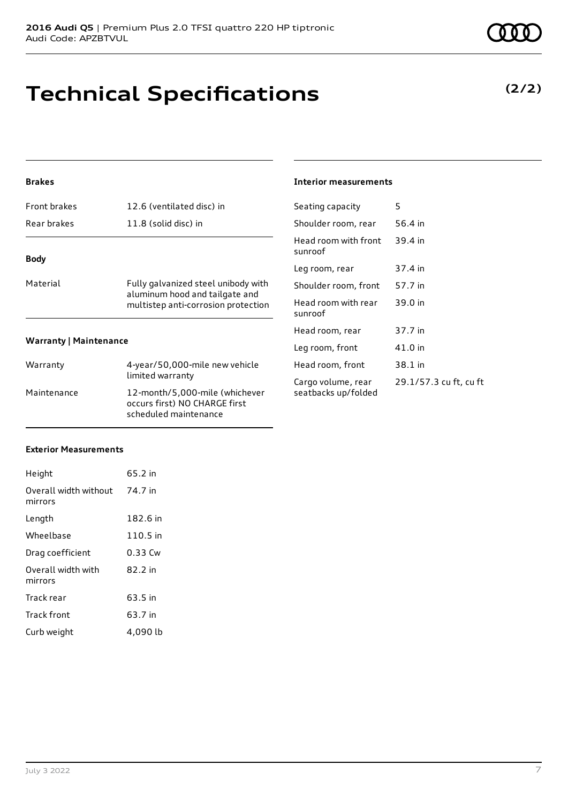## **Technical Specifications**

#### **Brakes**

| Front brakes                  | 12.6 (ventilated disc) in                                                                                    |  |
|-------------------------------|--------------------------------------------------------------------------------------------------------------|--|
| Rear brakes                   | 11.8 (solid disc) in                                                                                         |  |
| <b>Body</b>                   |                                                                                                              |  |
|                               |                                                                                                              |  |
| Material                      | Fully galvanized steel unibody with<br>aluminum hood and tailgate and<br>multistep anti-corrosion protection |  |
| <b>Warranty   Maintenance</b> |                                                                                                              |  |
| Warranty                      | 4-year/50,000-mile new vehicle<br>limited warranty                                                           |  |

| <b>Warranty   Maintenance</b> |                                                                                          | Leg room, f |
|-------------------------------|------------------------------------------------------------------------------------------|-------------|
|                               |                                                                                          |             |
| Warranty                      | 4-year/50,000-mile new vehicle                                                           | Head room,  |
|                               | limited warranty                                                                         | Cargo volun |
| Maintenance                   | 12-month/5,000-mile (whichever<br>occurs first) NO CHARGE first<br>scheduled maintenance | seatbacks u |

#### **Interior measurements**

| Seating capacity                          | 5                      |
|-------------------------------------------|------------------------|
| Shoulder room, rear                       | 56.4 in                |
| Head room with front<br>sunroof           | 39.4 in                |
| Leg room, rear                            | 37.4 in                |
| Shoulder room, front                      | 57.7 in                |
| Head room with rear<br>sunroof            | 39.0 in                |
| Head room, rear                           | 37.7 in                |
| Leg room, front                           | 41.0 in                |
| Head room, front                          | 38.1 in                |
| Cargo volume, rear<br>seatbacks up/folded | 29.1/57.3 cu ft, cu ft |

#### **Exterior Measurements**

| Height                           | 65.2 in  |
|----------------------------------|----------|
| Overall width without<br>mirrors | 74.7 in  |
| Length                           | 182.6 in |
| Wheelbase                        | 110.5 in |
| Drag coefficient                 | 0.33 Cw  |
| Overall width with<br>mirrors    | 82.2 in  |
| Track rear                       | 63.5 in  |
| <b>Track front</b>               | 63.7 in  |
| Curb weight                      | 4,090 lb |

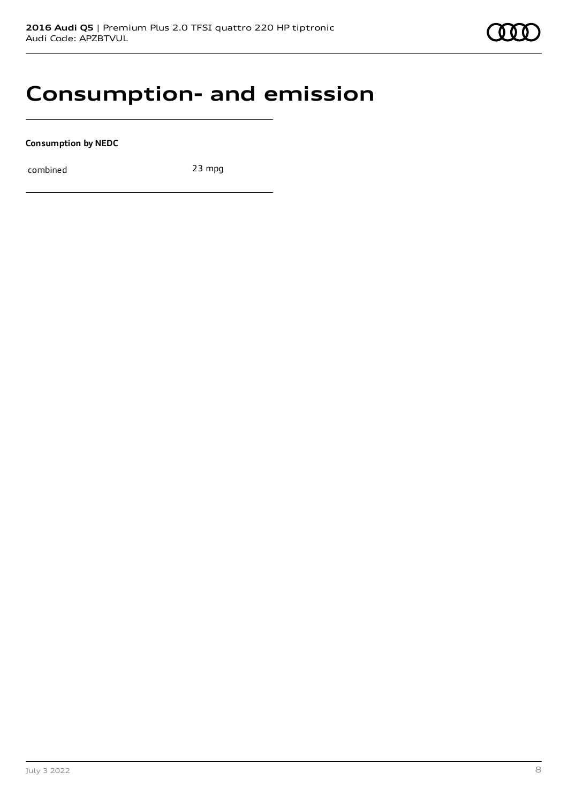### **Consumption- and emission**

**Consumption by NEDC**

combined 23 mpg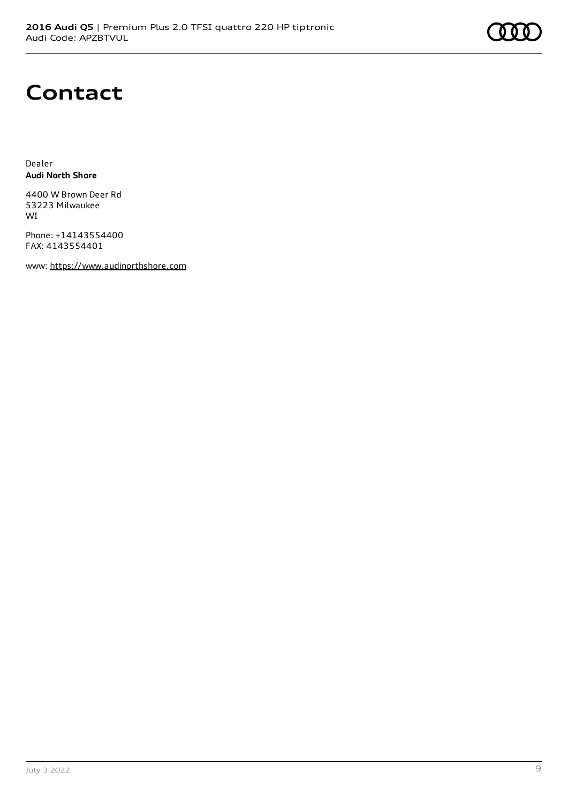

### **Contact**

Dealer **Audi North Shore**

4400 W Brown Deer Rd 53223 Milwaukee WI

Phone: +14143554400 FAX: 4143554401

www: [https://www.audinorthshore.com](https://www.audinorthshore.com/)